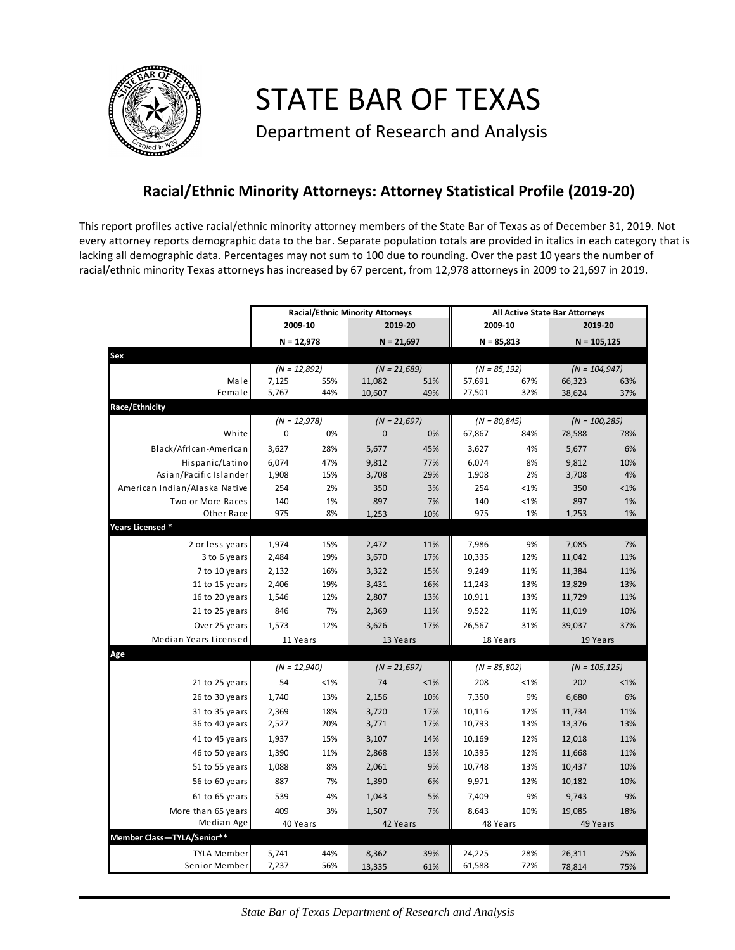

STATE BAR OF TEXAS

Department of Research and Analysis

## **Racial/Ethnic Minority Attorneys: Attorney Statistical Profile (2019-20)**

This report profiles active racial/ethnic minority attorney members of the State Bar of Texas as of December 31, 2019. Not every attorney reports demographic data to the bar. Separate population totals are provided in italics in each category that is lacking all demographic data. Percentages may not sum to 100 due to rounding. Over the past 10 years the number of racial/ethnic minority Texas attorneys has increased by 67 percent, from 12,978 attorneys in 2009 to 21,697 in 2019.

|                               | <b>Racial/Ethnic Minority Attorneys</b> |         |                |         | All Active State Bar Attorneys |         |                  |        |  |
|-------------------------------|-----------------------------------------|---------|----------------|---------|--------------------------------|---------|------------------|--------|--|
|                               | 2009-10                                 |         | 2019-20        |         | 2009-10                        |         | 2019-20          |        |  |
|                               | $N = 12,978$                            |         | $N = 21,697$   |         | $N = 85,813$                   |         | $N = 105,125$    |        |  |
| Sex                           |                                         |         |                |         |                                |         |                  |        |  |
|                               | $(N = 12,892)$                          |         | $(N = 21,689)$ |         | $(N = 85, 192)$                |         | $(N = 104, 947)$ |        |  |
| Male                          | 7,125                                   | 55%     | 11,082         | 51%     | 57,691                         | 67%     | 66,323           | 63%    |  |
| Female                        | 5,767                                   | 44%     | 10,607         | 49%     | 27,501                         | 32%     | 38,624           | 37%    |  |
| Race/Ethnicity                |                                         |         |                |         |                                |         |                  |        |  |
|                               | $(N = 12,978)$                          |         | $(N = 21,697)$ |         | $(N = 80, 845)$                |         | $(N = 100, 285)$ |        |  |
| White                         | $\mathbf 0$                             | 0%      | $\overline{0}$ | 0%      | 67,867                         | 84%     | 78,588           | 78%    |  |
| Black/African-American        | 3,627                                   | 28%     | 5,677          | 45%     | 3,627                          | 4%      | 5,677            | 6%     |  |
| Hispanic/Latino               | 6,074                                   | 47%     | 9,812          | 77%     | 6,074                          | 8%      | 9,812            | 10%    |  |
| Asian/Pacific Islander        | 1,908                                   | 15%     | 3,708          | 29%     | 1,908                          | 2%      | 3,708            | 4%     |  |
| American Indian/Alaska Native | 254                                     | 2%      | 350            | 3%      | 254                            | $< 1\%$ | 350              | < 1%   |  |
| Two or More Races             | 140                                     | 1%      | 897            | 7%      | 140                            | <1%     | 897              | 1%     |  |
| Other Race                    | 975                                     | 8%      | 1,253          | 10%     | 975                            | 1%      | 1,253            | 1%     |  |
| Years Licensed *              |                                         |         |                |         |                                |         |                  |        |  |
| 2 or less years               | 1,974                                   | 15%     | 2,472          | 11%     | 7,986                          | 9%      | 7,085            | 7%     |  |
| 3 to 6 years                  | 2,484                                   | 19%     | 3,670          | 17%     | 10,335                         | 12%     | 11,042           | 11%    |  |
| 7 to 10 years                 | 2,132                                   | 16%     | 3,322          | 15%     | 9,249                          | 11%     | 11,384           | 11%    |  |
| 11 to 15 years                | 2,406                                   | 19%     | 3,431          | 16%     | 11,243                         | 13%     | 13,829           | 13%    |  |
| 16 to 20 years                | 1,546                                   | 12%     | 2,807          | 13%     | 10,911                         | 13%     | 11,729           | 11%    |  |
| 21 to 25 years                | 846                                     | 7%      | 2,369          | 11%     | 9,522                          | 11%     | 11,019           | 10%    |  |
| Over 25 years                 | 1,573                                   | 12%     | 3,626          | 17%     | 26,567                         | 31%     | 39,037           | 37%    |  |
| Median Years Licensed         | 11 Years                                |         | 13 Years       |         | 18 Years                       |         | 19 Years         |        |  |
| Age                           |                                         |         |                |         |                                |         |                  |        |  |
|                               | $(N = 12,940)$                          |         | $(N = 21,697)$ |         | $(N = 85,802)$                 |         | $(N = 105, 125)$ |        |  |
| 21 to 25 years                | 54                                      | $< 1\%$ | 74             | $< 1\%$ | 208                            | $< 1\%$ | 202              | $<$ 1% |  |
| 26 to 30 years                | 1,740                                   | 13%     | 2,156          | 10%     | 7,350                          | 9%      | 6,680            | 6%     |  |
| 31 to 35 years                | 2,369                                   | 18%     | 3,720          | 17%     | 10,116                         | 12%     | 11,734           | 11%    |  |
| 36 to 40 years                | 2,527                                   | 20%     | 3,771          | 17%     | 10,793                         | 13%     | 13,376           | 13%    |  |
| 41 to 45 years                | 1,937                                   | 15%     | 3,107          | 14%     | 10,169                         | 12%     | 12,018           | 11%    |  |
| 46 to 50 years                | 1,390                                   | 11%     | 2,868          | 13%     | 10,395                         | 12%     |                  | 11%    |  |
|                               |                                         | 8%      |                | 9%      |                                | 13%     | 11,668           | 10%    |  |
| 51 to 55 years                | 1,088                                   |         | 2,061          |         | 10,748                         |         | 10,437           |        |  |
| 56 to 60 years                | 887                                     | 7%      | 1,390          | 6%      | 9,971                          | 12%     | 10,182           | 10%    |  |
| 61 to 65 years                | 539                                     | 4%      | 1,043          | 5%      | 7,409                          | 9%      | 9,743            | 9%     |  |
| More than 65 years            | 409                                     | 3%      | 1,507          | 7%      | 8,643                          | 10%     | 19,085           | 18%    |  |
| Median Age                    | 40 Years                                |         | 42 Years       |         | 48 Years                       |         | 49 Years         |        |  |
| Member Class-TYLA/Senior**    |                                         |         |                |         |                                |         |                  |        |  |
| TYLA Member                   | 5,741                                   | 44%     | 8,362          | 39%     | 24,225                         | 28%     | 26,311           | 25%    |  |
| Senior Member                 | 7,237                                   | 56%     | 13,335         | 61%     | 61,588                         | 72%     | 78,814           | 75%    |  |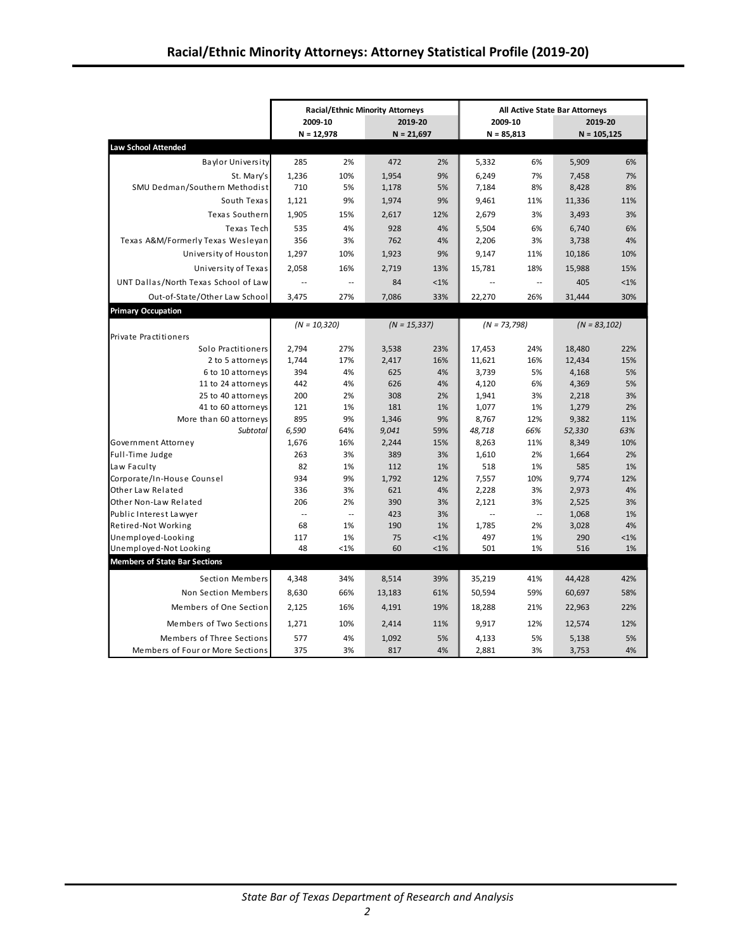|                                              | <b>Racial/Ethnic Minority Attorneys</b> |                             |                |                    | All Active State Bar Attorneys |               |                 |               |  |
|----------------------------------------------|-----------------------------------------|-----------------------------|----------------|--------------------|--------------------------------|---------------|-----------------|---------------|--|
|                                              | 2009-10                                 |                             | 2019-20        |                    | 2009-10                        |               | 2019-20         |               |  |
|                                              | $N = 12,978$                            |                             | $N = 21,697$   |                    | $N = 85,813$                   |               | $N = 105, 125$  |               |  |
| <b>Law School Attended</b>                   |                                         |                             |                |                    |                                |               |                 |               |  |
| <b>Baylor University</b>                     | 285                                     | 2%                          | 472            | 2%                 | 5,332                          | 6%            | 5,909           | 6%            |  |
| St. Mary's                                   | 1,236                                   | 10%                         | 1,954          | 9%                 | 6,249                          | 7%            | 7,458           | 7%            |  |
| SMU Dedman/Southern Methodist                | 710                                     | 5%                          | 1,178          | 5%                 | 7,184                          | 8%            | 8,428           | 8%            |  |
| South Texas                                  | 1,121                                   | 9%                          | 1,974          | 9%                 | 9,461                          | 11%           | 11,336          | 11%           |  |
| Texas Southern                               | 1,905                                   | 15%                         | 2,617          | 12%                | 2,679                          | 3%            | 3,493           | 3%            |  |
| Texas Tech                                   | 535                                     | 4%                          | 928            | 4%                 | 5,504                          | 6%            | 6,740           | 6%            |  |
| Texas A&M/Formerly Texas Wesleyan            | 356                                     | 3%                          | 762            | 4%                 | 2,206                          | 3%            | 3,738           | 4%            |  |
| University of Houston                        | 1,297                                   | 10%                         | 1,923          | 9%                 | 9,147                          | 11%           | 10,186          | 10%           |  |
| University of Texas                          | 2,058                                   | 16%                         | 2,719          | 13%                | 15,781                         | 18%           | 15,988          | 15%           |  |
| UNT Dallas/North Texas School of Law         | $\sim$                                  | $\mathcal{L} = \mathcal{L}$ | 84             | $< 1\%$            | $\sim$                         | $\sim$ $\sim$ | 405             | $< 1\%$       |  |
| Out-of-State/Other Law School                | 3,475                                   | 27%                         | 7,086          | 33%                | 22,270                         | 26%           | 31,444          | 30%           |  |
| <b>Primary Occupation</b>                    |                                         |                             |                |                    |                                |               |                 |               |  |
|                                              | $(N = 10,320)$                          |                             | $(N = 15,337)$ |                    | $(N = 73,798)$                 |               | $(N = 83, 102)$ |               |  |
| Private Practitioners                        |                                         |                             |                |                    |                                |               |                 |               |  |
| Solo Practitioners                           | 2,794                                   | 27%                         | 3,538          | 23%                | 17,453                         | 24%           | 18,480          | 22%           |  |
| 2 to 5 attorneys                             | 1,744                                   | 17%                         | 2,417          | 16%                | 11,621                         | 16%           | 12,434          | 15%           |  |
| 6 to 10 attorneys                            | 394                                     | 4%                          | 625            | 4%                 | 3,739                          | 5%            | 4,168           | 5%            |  |
| 11 to 24 attorneys                           | 442                                     | 4%                          | 626            | 4%                 | 4,120                          | 6%            | 4,369           | 5%            |  |
| 25 to 40 attorneys                           | 200                                     | 2%                          | 308            | 2%                 | 1,941                          | 3%            | 2,218           | 3%            |  |
| 41 to 60 attorneys                           | 121                                     | 1%                          | 181            | 1%                 | 1,077                          | 1%            | 1,279           | 2%            |  |
| More than 60 attorneys                       | 895                                     | 9%                          | 1,346          | 9%                 | 8,767                          | 12%           | 9,382           | 11%           |  |
| Subtotal                                     | 6,590                                   | 64%                         | 9,041          | 59%                | 48,718                         | 66%           | 52,330          | 63%           |  |
| Government Attorney                          | 1,676                                   | 16%                         | 2,244          | 15%                | 8,263                          | 11%           | 8,349           | 10%           |  |
| Full-Time Judge                              | 263                                     | 3%                          | 389            | 3%                 | 1,610                          | 2%            | 1,664           | 2%            |  |
| Law Faculty                                  | 82                                      | 1%                          | 112            | 1%                 | 518                            | 1%            | 585             | 1%            |  |
| Corporate/In-House Counsel                   | 934                                     | 9%                          | 1,792          | 12%                | 7,557                          | 10%           | 9,774           | 12%           |  |
| Other Law Related                            | 336                                     | 3%                          | 621            | 4%                 | 2,228                          | 3%            | 2,973           | 4%            |  |
| Other Non-Law Related                        | 206                                     | 2%                          | 390            | 3%                 | 2,121                          | 3%            | 2,525           | 3%            |  |
| Public Interest Lawyer                       | $\sim$                                  | $\mathcal{L} = \mathcal{L}$ | 423            | 3%                 | $\overline{\phantom{a}}$       | $\ddotsc$     | 1,068           | 1%            |  |
| Retired-Not Working                          | 68                                      | 1%                          | 190            | 1%                 | 1,785                          | 2%            | 3,028           | 4%            |  |
| Unemployed-Looking<br>Unemployed-Not Looking | 117<br>48                               | 1%<br><1%                   | 75<br>60       | $< 1\%$<br>$< 1\%$ | 497<br>501                     | 1%<br>1%      | 290<br>516      | $< 1\%$<br>1% |  |
| <b>Members of State Bar Sections</b>         |                                         |                             |                |                    |                                |               |                 |               |  |
|                                              |                                         |                             |                |                    |                                |               |                 |               |  |
| Section Members                              | 4,348                                   | 34%                         | 8,514          | 39%                | 35,219                         | 41%           | 44,428          | 42%           |  |
| Non Section Members                          | 8,630                                   | 66%                         | 13,183         | 61%                | 50,594                         | 59%           | 60,697          | 58%           |  |
| Members of One Section                       | 2,125                                   | 16%                         | 4,191          | 19%                | 18,288                         | 21%           | 22,963          | 22%           |  |
| Members of Two Sections                      | 1,271                                   | 10%                         | 2,414          | 11%                | 9,917                          | 12%           | 12,574          | 12%           |  |
| Members of Three Sections                    | 577                                     | 4%                          | 1,092          | 5%                 | 4,133                          | 5%            | 5,138           | 5%            |  |
| Members of Four or More Sections             | 375                                     | 3%                          | 817            | 4%                 | 2,881                          | 3%            | 3,753           | 4%            |  |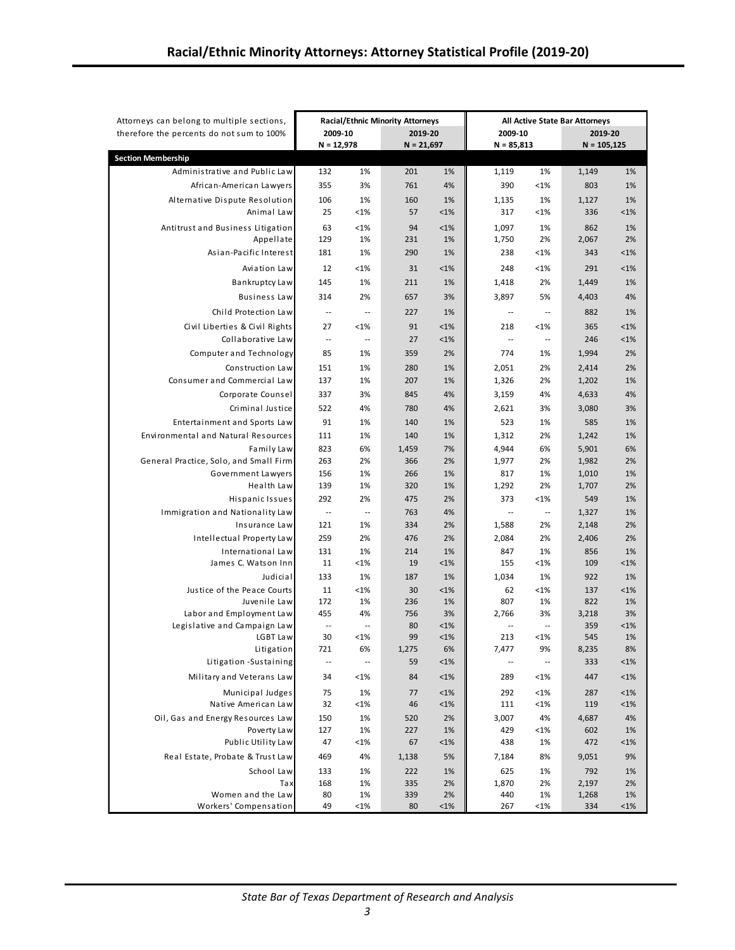| Attorneys can belong to multiple sections,               | <b>Racial/Ethnic Minority Attorneys</b> |                                |              | All Active State Bar Attorneys |                                   |                                |               |               |
|----------------------------------------------------------|-----------------------------------------|--------------------------------|--------------|--------------------------------|-----------------------------------|--------------------------------|---------------|---------------|
| therefore the percents do not sum to 100%                | 2009-10                                 |                                | 2019-20      |                                | 2009-10                           |                                | 2019-20       |               |
|                                                          | $N = 12,978$                            |                                | $N = 21,697$ |                                | $N = 85,813$                      |                                | $N = 105,125$ |               |
| <b>Section Membership</b>                                |                                         |                                |              |                                |                                   |                                |               |               |
| Administrative and Public Law                            | 132                                     | 1%                             | 201          | 1%                             | 1,119                             | 1%                             | 1,149         | 1%            |
| African-American Lawyers                                 | 355                                     | 3%                             | 761          | 4%                             | 390                               | $< 1\%$                        | 803           | 1%            |
| Alternative Dispute Resolution                           | 106                                     | 1%                             | 160          | 1%                             | 1,135                             | 1%                             | 1,127         | 1%            |
| Animal Law                                               | 25                                      | < 1%                           | 57           | $< 1\%$                        | 317                               | $< 1\%$                        | 336           | $< 1\%$       |
| Antitrust and Business Litigation                        | 63                                      | < 1%                           | 94           | $< 1\%$                        | 1,097                             | 1%                             | 862           | 1%            |
| Appellate                                                | 129                                     | 1%                             | 231          | 1%                             | 1,750                             | 2%                             | 2,067         | 2%            |
| Asian-Pacific Interest                                   | 181                                     | 1%                             | 290          | 1%                             | 238                               | $< 1\%$                        | 343           | $< 1\%$       |
| Aviation Law                                             | 12                                      | < 1%                           | 31           | $< 1\%$                        | 248                               | $< 1\%$                        | 291           | $< 1\%$       |
| Bankruptcy Law                                           | 145                                     | 1%                             | 211          | 1%                             | 1,418                             | 2%                             | 1,449         | 1%            |
| <b>Business Law</b>                                      | 314                                     | 2%                             | 657          | 3%                             | 3,897                             | 5%                             | 4,403         | 4%            |
| Child Protection Law                                     | $\overline{\phantom{a}}$                | $\sim$                         | 227          | 1%                             | $\overline{\phantom{a}}$          | $\sim$                         | 882           | 1%            |
| Civil Liberties & Civil Rights                           | 27                                      | < 1%                           | 91           | $< 1\%$                        | 218                               | $< 1\%$                        | 365           | $< 1\%$       |
| Collaborative Law                                        | $\sim$                                  | $\overline{\phantom{a}}$       | 27           | $< 1\%$                        | $\overline{\phantom{a}}$          | $\overline{\phantom{a}}$       | 246           | $< 1\%$       |
| Computer and Technology                                  | 85                                      | 1%                             | 359          | 2%                             | 774                               | 1%                             | 1,994         | 2%            |
| Construction Law                                         | 151                                     | 1%                             | 280          | 1%                             | 2,051                             | 2%                             | 2,414         | 2%            |
| Consumer and Commercial Law                              | 137                                     | 1%                             | 207          | 1%                             | 1,326                             | 2%                             | 1,202         | 1%            |
| Corporate Counsel                                        | 337                                     | 3%                             | 845          | 4%                             | 3,159                             | 4%                             | 4,633         | 4%            |
| Criminal Justice                                         | 522                                     | 4%                             | 780          | 4%                             | 2,621                             | 3%                             | 3,080         | 3%            |
| Entertainment and Sports Law                             | 91                                      | 1%                             | 140          | 1%                             | 523                               | 1%                             | 585           | 1%            |
| <b>Environmental and Natural Resources</b>               | 111                                     | 1%                             | 140          | 1%                             | 1,312                             | 2%                             | 1,242         | 1%            |
| Family Law                                               | 823                                     | 6%                             | 1,459        | 7%                             | 4,944                             | 6%                             | 5,901         | 6%            |
| General Practice, Solo, and Small Firm                   | 263                                     | 2%                             | 366          | 2%                             | 1,977                             | 2%                             | 1,982         | 2%            |
| Government Lawyers                                       | 156                                     | 1%                             | 266          | 1%                             | 817                               | 1%                             | 1,010         | 1%            |
| Health Law                                               | 139                                     | 1%                             | 320          | 1%                             | 1,292                             | 2%                             | 1,707         | 2%            |
| Hispanic Issues                                          | 292                                     | 2%                             | 475          | 2%                             | 373                               | <1%                            | 549           | 1%            |
| Immigration and Nationality Law                          | $\overline{\phantom{a}}$                | $\overline{\phantom{a}}$       | 763          | 4%                             | $\overline{\phantom{a}}$          | $\overline{\phantom{a}}$       | 1,327         | 1%            |
| Insurance Law                                            | 121                                     | 1%                             | 334          | 2%                             | 1,588                             | 2%                             | 2,148         | 2%            |
| Intellectual Property Law                                | 259                                     | 2%                             | 476          | 2%                             | 2,084                             | 2%                             | 2,406         | 2%            |
| International Law                                        | 131                                     | 1%                             | 214          | 1%                             | 847                               | 1%                             | 856           | 1%            |
| James C. Watson Inn                                      | 11                                      | <1%                            | 19           | $< 1\%$                        | 155                               | $< 1\%$                        | 109           | $< 1\%$       |
| Judicial                                                 | 133                                     | 1%                             | 187          | 1%                             | 1,034                             | 1%                             | 922           | 1%            |
| Justice of the Peace Courts                              | 11                                      | < 1%                           | 30           | $< 1\%$                        | 62                                | $< 1\%$                        | 137           | $< 1\%$       |
| Juvenile Law                                             | 172                                     | 1%                             | 236          | 1%                             | 807                               | 1%                             | 822           | 1%            |
| Labor and Employment Law<br>Legislative and Campaign Law | 455<br>$\overline{\phantom{a}}$         | 4%<br>$\overline{\phantom{a}}$ | 756<br>80    | 3%<br>$< 1\%$                  | 2,766<br>$\overline{\phantom{m}}$ | 3%<br>$\overline{\phantom{a}}$ | 3,218<br>359  | 3%<br>$< 1\%$ |
| LGBT Law                                                 | 30                                      | <1%                            | 99           | $< 1\%$                        | 213                               | $< 1\%$                        | 545           | 1%            |
| Litigation                                               | 721                                     | 6%                             | 1,275        | 6%                             | 7,477                             | 9%                             | 8,235         | 8%            |
| Litigation -Sustaining                                   | $\overline{\phantom{a}}$                | ۰.                             | 59           | $< 1\%$                        | ٠.                                | Ξ.                             | 333           | $< 1\%$       |
| Military and Veterans Law                                | 34                                      | <1%                            | 84           | $< 1\%$                        | 289                               | $< 1\%$                        | 447           | <1%           |
| Municipal Judges                                         | 75                                      | 1%                             | 77           | $< 1\%$                        | 292                               | $< 1\%$                        | 287           | $< 1\%$       |
| Native American Law                                      | 32                                      | <1%                            | 46           | $< 1\%$                        | 111                               | $< 1\%$                        | 119           | $< 1\%$       |
| Oil, Gas and Energy Resources Law                        | 150                                     | 1%                             | 520          | 2%                             | 3,007                             | 4%                             | 4,687         | 4%            |
| Poverty Law                                              | 127                                     | 1%                             | 227          | 1%                             | 429                               | $< 1\%$                        | 602           | 1%            |
| Public Utility Law                                       | 47                                      | <1%                            | 67           | <1%                            | 438                               | 1%                             | 472           | <1%           |
| Real Estate, Probate & Trust Law                         | 469                                     | 4%                             | 1,138        | 5%                             | 7,184                             | 8%                             | 9,051         | 9%            |
| School Law                                               | 133                                     | 1%                             | 222          | 1%                             | 625                               | 1%                             | 792           | 1%            |
| Tax                                                      | 168                                     | 1%                             | 335          | 2%                             | 1,870                             | 2%                             | 2,197         | 2%            |
| Women and the Law                                        | 80                                      | 1%                             | 339          | 2%                             | 440                               | 1%                             | 1,268         | 1%            |
| Workers' Compensation                                    | 49                                      | <1%                            | 80           | <1%                            | 267                               | $<$ 1%                         | 334           | <1%           |